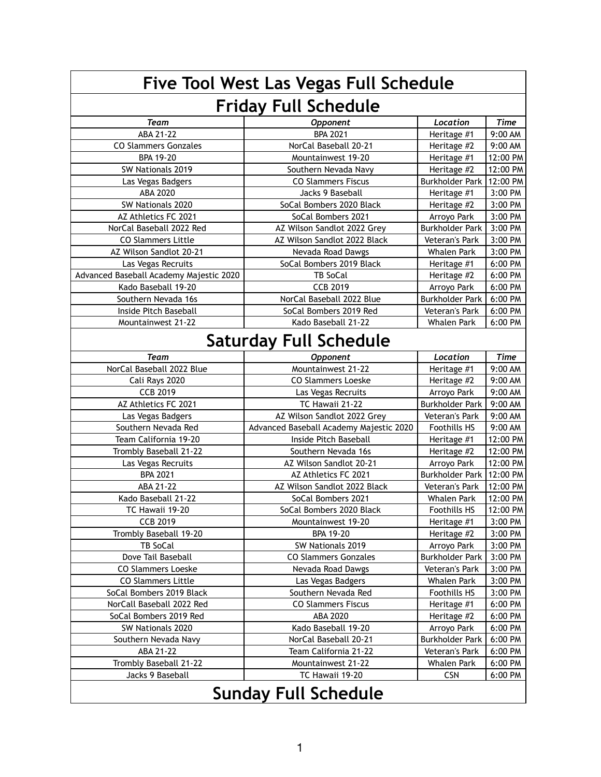| <b>Five Tool West Las Vegas Full Schedule</b> |                                         |                        |             |  |  |
|-----------------------------------------------|-----------------------------------------|------------------------|-------------|--|--|
| <b>Friday Full Schedule</b>                   |                                         |                        |             |  |  |
| <b>Team</b>                                   | <b>Opponent</b>                         | Location               | <b>Time</b> |  |  |
| ABA 21-22                                     | <b>BPA 2021</b>                         | Heritage #1            | 9:00 AM     |  |  |
| <b>CO Slammers Gonzales</b>                   | NorCal Baseball 20-21                   | Heritage #2            | 9:00 AM     |  |  |
| <b>BPA 19-20</b>                              | Mountainwest 19-20                      | Heritage #1            | 12:00 PM    |  |  |
| SW Nationals 2019                             | Southern Nevada Navy                    | Heritage #2            | 12:00 PM    |  |  |
| Las Vegas Badgers                             | <b>CO Slammers Fiscus</b>               | <b>Burkholder Park</b> | 12:00 PM    |  |  |
| ABA 2020                                      | Jacks 9 Baseball                        | Heritage #1            | 3:00 PM     |  |  |
| SW Nationals 2020                             | SoCal Bombers 2020 Black                | Heritage #2            | 3:00 PM     |  |  |
| AZ Athletics FC 2021                          | SoCal Bombers 2021                      | Arroyo Park            | 3:00 PM     |  |  |
| NorCal Baseball 2022 Red                      | AZ Wilson Sandlot 2022 Grey             | <b>Burkholder Park</b> | 3:00 PM     |  |  |
| <b>CO Slammers Little</b>                     | AZ Wilson Sandlot 2022 Black            | <b>Veteran's Park</b>  | 3:00 PM     |  |  |
| AZ Wilson Sandlot 20-21                       | Nevada Road Dawgs                       | <b>Whalen Park</b>     | 3:00 PM     |  |  |
| Las Vegas Recruits                            | SoCal Bombers 2019 Black                | Heritage #1            | 6:00 PM     |  |  |
| Advanced Baseball Academy Majestic 2020       | <b>TB SoCal</b>                         | Heritage #2            | 6:00 PM     |  |  |
| Kado Baseball 19-20                           | <b>CCB 2019</b>                         | Arroyo Park            | 6:00 PM     |  |  |
| Southern Nevada 16s                           | NorCal Baseball 2022 Blue               | <b>Burkholder Park</b> | 6:00 PM     |  |  |
| Inside Pitch Baseball                         | SoCal Bombers 2019 Red                  | <b>Veteran's Park</b>  | 6:00 PM     |  |  |
| Mountainwest 21-22                            | Kado Baseball 21-22                     | <b>Whalen Park</b>     | 6:00 PM     |  |  |
|                                               | <b>Saturday Full Schedule</b>           |                        |             |  |  |
| <b>Team</b>                                   | <b>Opponent</b>                         | Location               | <b>Time</b> |  |  |
| NorCal Baseball 2022 Blue                     | Mountainwest 21-22                      | Heritage #1            | 9:00 AM     |  |  |
| Cali Rays 2020                                | <b>CO Slammers Loeske</b>               | Heritage #2            | 9:00 AM     |  |  |
| <b>CCB 2019</b>                               | Las Vegas Recruits                      | Arroyo Park            | 9:00 AM     |  |  |
| AZ Athletics FC 2021                          | TC Hawaii 21-22                         | <b>Burkholder Park</b> | 9:00 AM     |  |  |
| Las Vegas Badgers                             | AZ Wilson Sandlot 2022 Grey             | Veteran's Park         | 9:00 AM     |  |  |
| Southern Nevada Red                           | Advanced Baseball Academy Majestic 2020 | <b>Foothills HS</b>    | 9:00 AM     |  |  |
| Team California 19-20                         | Inside Pitch Baseball                   | Heritage #1            | 12:00 PM    |  |  |
| Trombly Baseball 21-22                        | Southern Nevada 16s                     | Heritage #2            | 12:00 PM    |  |  |
| Las Vegas Recruits                            | AZ Wilson Sandlot 20-21                 | Arroyo Park            | 12:00 PM    |  |  |
| <b>BPA 2021</b>                               | AZ Athletics FC 2021                    | <b>Burkholder Park</b> | 12:00 PM    |  |  |
| ABA 21-22                                     | AZ Wilson Sandlot 2022 Black            | Veteran's Park         | 12:00 PM    |  |  |
| Kado Baseball 21-22                           | SoCal Bombers 2021                      | <b>Whalen Park</b>     | 12:00 PM    |  |  |
| TC Hawaii 19-20                               | SoCal Bombers 2020 Black                | Foothills HS           | 12:00 PM    |  |  |
| <b>CCB 2019</b>                               | Mountainwest 19-20                      | Heritage #1            | 3:00 PM     |  |  |
| Trombly Baseball 19-20                        | <b>BPA 19-20</b>                        | Heritage #2            | 3:00 PM     |  |  |
| <b>TB SoCal</b>                               | SW Nationals 2019                       | Arroyo Park            | 3:00 PM     |  |  |
| Dove Tail Baseball                            | <b>CO Slammers Gonzales</b>             | <b>Burkholder Park</b> | 3:00 PM     |  |  |
| <b>CO Slammers Loeske</b>                     | Nevada Road Dawgs                       | <b>Veteran's Park</b>  | 3:00 PM     |  |  |
| <b>CO Slammers Little</b>                     | Las Vegas Badgers                       | <b>Whalen Park</b>     | 3:00 PM     |  |  |
| SoCal Bombers 2019 Black                      | Southern Nevada Red                     | <b>Foothills HS</b>    | 3:00 PM     |  |  |
| NorCall Baseball 2022 Red                     | <b>CO Slammers Fiscus</b>               | Heritage #1            | 6:00 PM     |  |  |
| SoCal Bombers 2019 Red                        | ABA 2020                                | Heritage #2            | 6:00 PM     |  |  |
| SW Nationals 2020                             | Kado Baseball 19-20                     | Arroyo Park            | 6:00 PM     |  |  |
| Southern Nevada Navy                          | NorCal Baseball 20-21                   | <b>Burkholder Park</b> | 6:00 PM     |  |  |
| ABA 21-22                                     | Team California 21-22                   | Veteran's Park         | 6:00 PM     |  |  |
| Trombly Baseball 21-22                        | Mountainwest 21-22                      | <b>Whalen Park</b>     | 6:00 PM     |  |  |
| Jacks 9 Baseball                              | TC Hawaii 19-20                         | <b>CSN</b>             | 6:00 PM     |  |  |
|                                               | <b>Sunday Full Schedule</b>             |                        |             |  |  |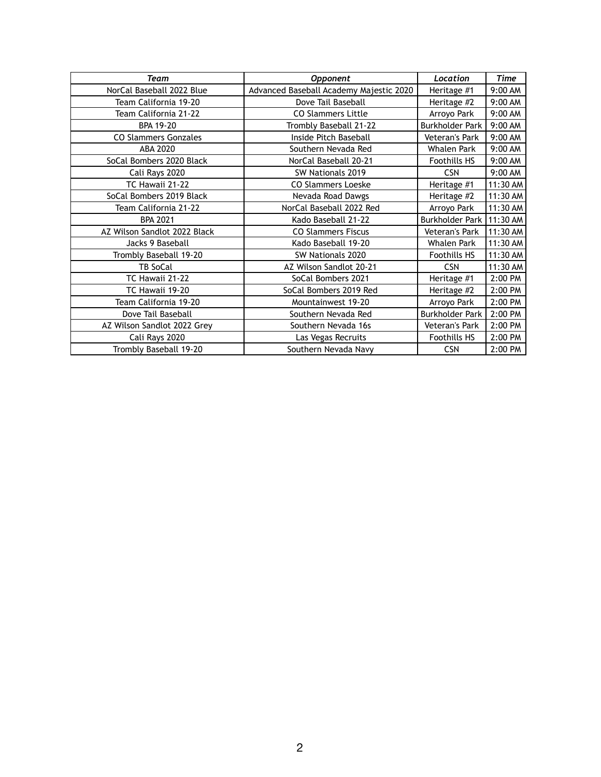| Team                         | <b>Opponent</b>                         | Location               | <b>Time</b> |
|------------------------------|-----------------------------------------|------------------------|-------------|
| NorCal Baseball 2022 Blue    | Advanced Baseball Academy Majestic 2020 | Heritage #1            | 9:00 AM     |
| Team California 19-20        | Dove Tail Baseball                      | Heritage #2            | 9:00 AM     |
| Team California 21-22        | <b>CO Slammers Little</b>               | Arroyo Park            | 9:00 AM     |
| <b>BPA 19-20</b>             | Trombly Baseball 21-22                  | <b>Burkholder Park</b> | 9:00 AM     |
| <b>CO Slammers Gonzales</b>  | Inside Pitch Baseball                   | Veteran's Park         | 9:00 AM     |
| ABA 2020                     | Southern Nevada Red                     | <b>Whalen Park</b>     | 9:00 AM     |
| SoCal Bombers 2020 Black     | NorCal Baseball 20-21                   | <b>Foothills HS</b>    | 9:00 AM     |
| Cali Rays 2020               | SW Nationals 2019                       | <b>CSN</b>             | 9:00 AM     |
| TC Hawaii 21-22              | <b>CO Slammers Loeske</b>               | Heritage #1            | 11:30 AM    |
| SoCal Bombers 2019 Black     | Nevada Road Dawgs                       | Heritage #2            | 11:30 AM    |
| Team California 21-22        | NorCal Baseball 2022 Red                | Arroyo Park            | 11:30 AM    |
| <b>BPA 2021</b>              | Kado Baseball 21-22                     | <b>Burkholder Park</b> | 11:30 AM    |
| AZ Wilson Sandlot 2022 Black | <b>CO Slammers Fiscus</b>               | Veteran's Park         | 11:30 AM    |
| Jacks 9 Baseball             | Kado Baseball 19-20                     | <b>Whalen Park</b>     | 11:30 AM    |
| Trombly Baseball 19-20       | SW Nationals 2020                       | <b>Foothills HS</b>    | 11:30 AM    |
| <b>TB SoCal</b>              | AZ Wilson Sandlot 20-21                 | <b>CSN</b>             | 11:30 AM    |
| TC Hawaii 21-22              | SoCal Bombers 2021                      | Heritage #1            | 2:00 PM     |
| TC Hawaii 19-20              | SoCal Bombers 2019 Red                  | Heritage #2            | 2:00 PM     |
| Team California 19-20        | Mountainwest 19-20                      | Arroyo Park            | 2:00 PM     |
| Dove Tail Baseball           | Southern Nevada Red                     | <b>Burkholder Park</b> | 2:00 PM     |
| AZ Wilson Sandlot 2022 Grey  | Southern Nevada 16s                     | Veteran's Park         | 2:00 PM     |
| Cali Rays 2020               | Las Vegas Recruits                      | <b>Foothills HS</b>    | 2:00 PM     |
| Trombly Baseball 19-20       | Southern Nevada Navy                    | <b>CSN</b>             | 2:00 PM     |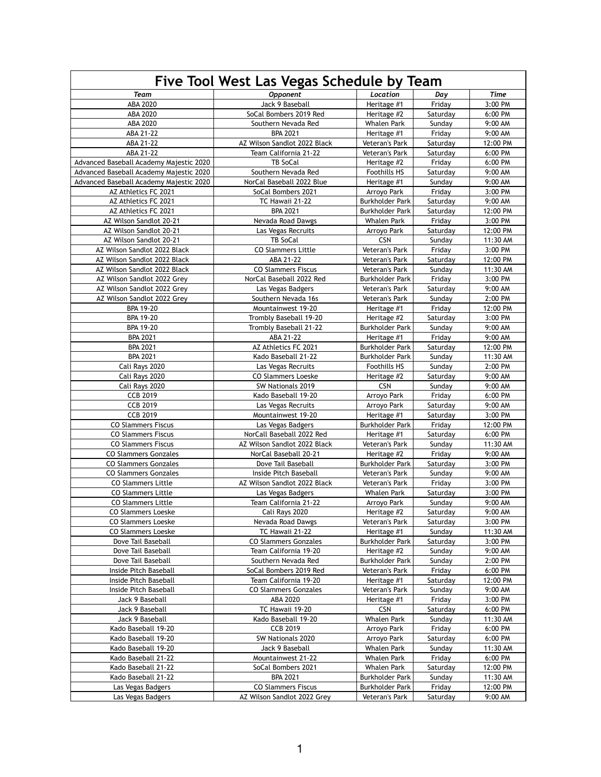| Five Tool West Las Vegas Schedule by Team                    |                                                          |                                          |                  |                     |
|--------------------------------------------------------------|----------------------------------------------------------|------------------------------------------|------------------|---------------------|
| <b>Team</b>                                                  | <b>Opponent</b>                                          | Location                                 | Day              | <b>Time</b>         |
| ABA 2020                                                     | Jack 9 Baseball                                          | Heritage #1                              | Friday           | 3:00 PM             |
| ABA 2020                                                     | SoCal Bombers 2019 Red                                   | Heritage #2                              | Saturday         | 6:00 PM             |
| ABA 2020                                                     | Southern Nevada Red                                      | <b>Whalen Park</b>                       | Sunday           | 9:00 AM             |
| ABA 21-22                                                    | <b>BPA 2021</b>                                          | Heritage #1                              | Friday           | 9:00 AM             |
| ABA 21-22                                                    | AZ Wilson Sandlot 2022 Black                             | Veteran's Park                           | Saturday         | 12:00 PM            |
| ABA 21-22                                                    | Team California 21-22                                    | Veteran's Park                           | Saturday         | 6:00 PM             |
| Advanced Baseball Academy Majestic 2020                      | <b>TB SoCal</b>                                          | Heritage #2                              | Friday           | 6:00 PM             |
| Advanced Baseball Academy Majestic 2020                      | Southern Nevada Red                                      | <b>Foothills HS</b>                      | Saturday         | 9:00 AM             |
| Advanced Baseball Academy Majestic 2020                      | NorCal Baseball 2022 Blue                                | Heritage #1                              | Sunday           | 9:00 AM             |
| AZ Athletics FC 2021                                         | SoCal Bombers 2021                                       | Arroyo Park                              | Friday           | 3:00 PM             |
| AZ Athletics FC 2021                                         | TC Hawaii 21-22                                          | <b>Burkholder Park</b>                   | Saturday         | 9:00 AM             |
| AZ Athletics FC 2021                                         | <b>BPA 2021</b>                                          | <b>Burkholder Park</b>                   | Saturday         | 12:00 PM            |
| AZ Wilson Sandlot 20-21                                      | Nevada Road Dawgs                                        | <b>Whalen Park</b>                       | Friday           | 3:00 PM             |
| AZ Wilson Sandlot 20-21                                      | Las Vegas Recruits                                       | Arroyo Park                              | Saturday         | 12:00 PM            |
| AZ Wilson Sandlot 20-21                                      | <b>TB SoCal</b>                                          | <b>CSN</b>                               | Sunday           | 11:30 AM            |
| AZ Wilson Sandlot 2022 Black<br>AZ Wilson Sandlot 2022 Black | <b>CO Slammers Little</b><br>ABA 21-22                   | Veteran's Park<br>Veteran's Park         | Friday           | 3:00 PM<br>12:00 PM |
| AZ Wilson Sandlot 2022 Black                                 | <b>CO Slammers Fiscus</b>                                | Veteran's Park                           | Saturday         | 11:30 AM            |
| AZ Wilson Sandlot 2022 Grey                                  | NorCal Baseball 2022 Red                                 | <b>Burkholder Park</b>                   | Sunday<br>Friday | 3:00 PM             |
|                                                              |                                                          | Veteran's Park                           | Saturday         | 9:00 AM             |
| AZ Wilson Sandlot 2022 Grey<br>AZ Wilson Sandlot 2022 Grey   | Las Vegas Badgers<br>Southern Nevada 16s                 | Veteran's Park                           | Sunday           | 2:00 PM             |
| <b>BPA 19-20</b>                                             | Mountainwest 19-20                                       | Heritage #1                              | Friday           | 12:00 PM            |
| <b>BPA 19-20</b>                                             | Trombly Baseball 19-20                                   | Heritage #2                              | Saturday         | 3:00 PM             |
| <b>BPA 19-20</b>                                             | Trombly Baseball 21-22                                   | <b>Burkholder Park</b>                   | Sunday           | 9:00 AM             |
| <b>BPA 2021</b>                                              | ABA 21-22                                                | Heritage #1                              | Friday           | 9:00 AM             |
| <b>BPA 2021</b>                                              | AZ Athletics FC 2021                                     | <b>Burkholder Park</b>                   | Saturday         | 12:00 PM            |
| <b>BPA 2021</b>                                              | Kado Baseball 21-22                                      | <b>Burkholder Park</b>                   | Sunday           | 11:30 AM            |
| Cali Rays 2020                                               | Las Vegas Recruits                                       | <b>Foothills HS</b>                      | Sunday           | 2:00 PM             |
| Cali Rays 2020                                               | <b>CO Slammers Loeske</b>                                | Heritage #2                              | Saturday         | 9:00 AM             |
| Cali Rays 2020                                               | SW Nationals 2019                                        | <b>CSN</b>                               | Sunday           | 9:00 AM             |
| <b>CCB 2019</b>                                              | Kado Baseball 19-20                                      | Arroyo Park                              | Friday           | 6:00 PM             |
| <b>CCB 2019</b>                                              | Las Vegas Recruits                                       | Arroyo Park                              | Saturday         | 9:00 AM             |
| <b>CCB 2019</b>                                              | Mountainwest 19-20                                       | Heritage #1                              | Saturday         | 3:00 PM             |
| <b>CO Slammers Fiscus</b>                                    | Las Vegas Badgers                                        | <b>Burkholder Park</b>                   | Friday           | 12:00 PM            |
| <b>CO Slammers Fiscus</b>                                    | NorCall Baseball 2022 Red                                | Heritage #1                              | Saturday         | 6:00 PM             |
| <b>CO Slammers Fiscus</b>                                    | AZ Wilson Sandlot 2022 Black                             | Veteran's Park                           | Sunday           | 11:30 AM            |
| <b>CO Slammers Gonzales</b>                                  | NorCal Baseball 20-21                                    | Heritage #2                              | Friday           | 9:00 AM             |
| <b>CO Slammers Gonzales</b>                                  | Dove Tail Baseball                                       | <b>Burkholder Park</b>                   | Saturday         | 3:00 PM             |
| <b>CO Slammers Gonzales</b>                                  | Inside Pitch Baseball                                    | Veteran's Park                           | Sunday           | 9:00 AM             |
| <b>CO Slammers Little</b>                                    | AZ Wilson Sandlot 2022 Black                             | <b>Veteran's Park</b>                    | Friday           | 3:00 PM             |
| <b>CO Slammers Little</b>                                    | Las Vegas Badgers                                        | <b>Whalen Park</b>                       | Saturday         | 3:00 PM             |
| <b>CO Slammers Little</b>                                    | Team California 21-22                                    | Arroyo Park                              | Sunday           | 9:00 AM             |
| <b>CO Slammers Loeske</b>                                    | Cali Rays 2020                                           | Heritage #2                              | Saturday         | 9:00 AM             |
| <b>CO Slammers Loeske</b>                                    | Nevada Road Dawgs                                        | Veteran's Park                           | Saturday         | 3:00 PM             |
| <b>CO Slammers Loeske</b>                                    | TC Hawaii 21-22                                          | Heritage #1                              | Sunday           | 11:30 AM            |
| Dove Tail Baseball                                           | <b>CO Slammers Gonzales</b>                              | <b>Burkholder Park</b>                   | Saturday         | 3:00 PM             |
| Dove Tail Baseball                                           | Team California 19-20                                    | Heritage #2                              | Sunday           | 9:00 AM             |
| Dove Tail Baseball                                           | Southern Nevada Red                                      | <b>Burkholder Park</b>                   | Sunday           | 2:00 PM             |
| Inside Pitch Baseball                                        | SoCal Bombers 2019 Red                                   | Veteran's Park                           | Friday           | 6:00 PM             |
| Inside Pitch Baseball                                        | Team California 19-20                                    | Heritage #1                              | Saturday         | 12:00 PM            |
| Inside Pitch Baseball                                        | <b>CO Slammers Gonzales</b>                              | Veteran's Park                           | Sunday           | 9:00 AM             |
| Jack 9 Baseball                                              | ABA 2020                                                 | Heritage #1                              | Friday           | 3:00 PM             |
| Jack 9 Baseball                                              | TC Hawaii 19-20                                          | <b>CSN</b>                               | Saturday         | 6:00 PM             |
| Jack 9 Baseball                                              | Kado Baseball 19-20                                      | <b>Whalen Park</b>                       | Sunday           | 11:30 AM            |
| Kado Baseball 19-20                                          | <b>CCB 2019</b>                                          | Arroyo Park                              | Friday           | 6:00 PM             |
| Kado Baseball 19-20                                          | SW Nationals 2020                                        | Arroyo Park                              | Saturday         | 6:00 PM             |
| Kado Baseball 19-20                                          | Jack 9 Baseball                                          | <b>Whalen Park</b>                       | Sunday           | 11:30 AM            |
| Kado Baseball 21-22                                          | Mountainwest 21-22                                       | Whalen Park                              | Friday           | 6:00 PM             |
| Kado Baseball 21-22                                          | SoCal Bombers 2021                                       | <b>Whalen Park</b>                       | Saturday         | 12:00 PM            |
| Kado Baseball 21-22                                          | <b>BPA 2021</b>                                          | <b>Burkholder Park</b>                   | Sunday           | 11:30 AM            |
| Las Vegas Badgers                                            | <b>CO Slammers Fiscus</b><br>AZ Wilson Sandlot 2022 Grey | <b>Burkholder Park</b><br>Veteran's Park | Friday           | 12:00 PM            |
| Las Vegas Badgers                                            |                                                          |                                          | Saturday         | $9:00 \text{ AM}$   |

1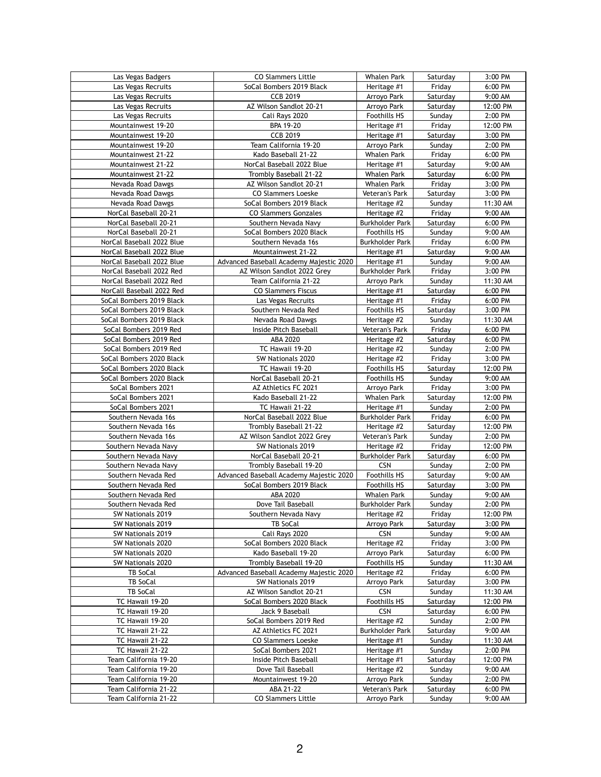| Las Vegas Badgers         | <b>CO Slammers Little</b>               | <b>Whalen Park</b>     | Saturday | 3:00 PM  |
|---------------------------|-----------------------------------------|------------------------|----------|----------|
| Las Vegas Recruits        | SoCal Bombers 2019 Black                | Heritage #1            | Friday   | 6:00 PM  |
| Las Vegas Recruits        | <b>CCB 2019</b>                         | Arroyo Park            | Saturday | 9:00 AM  |
|                           |                                         |                        |          |          |
| Las Vegas Recruits        | AZ Wilson Sandlot 20-21                 | Arroyo Park            | Saturday | 12:00 PM |
| Las Vegas Recruits        | Cali Rays 2020                          | <b>Foothills HS</b>    | Sunday   | 2:00 PM  |
| Mountainwest 19-20        | <b>BPA 19-20</b>                        | Heritage #1            | Friday   | 12:00 PM |
| Mountainwest 19-20        | <b>CCB 2019</b>                         | Heritage #1            | Saturday | 3:00 PM  |
|                           |                                         |                        |          |          |
| Mountainwest 19-20        | Team California 19-20                   | Arroyo Park            | Sunday   | 2:00 PM  |
| Mountainwest 21-22        | Kado Baseball 21-22                     | <b>Whalen Park</b>     | Friday   | 6:00 PM  |
| Mountainwest 21-22        | NorCal Baseball 2022 Blue               | Heritage #1            | Saturday | 9:00 AM  |
|                           |                                         |                        |          |          |
| Mountainwest 21-22        | Trombly Baseball 21-22                  | <b>Whalen Park</b>     | Saturday | 6:00 PM  |
| Nevada Road Dawgs         | AZ Wilson Sandlot 20-21                 | <b>Whalen Park</b>     | Friday   | 3:00 PM  |
| Nevada Road Dawgs         | <b>CO Slammers Loeske</b>               | <b>Veteran's Park</b>  | Saturday | 3:00 PM  |
| Nevada Road Dawgs         | SoCal Bombers 2019 Black                | Heritage #2            | Sunday   | 11:30 AM |
|                           |                                         |                        |          |          |
| NorCal Baseball 20-21     | <b>CO Slammers Gonzales</b>             | Heritage #2            | Friday   | 9:00 AM  |
| NorCal Baseball 20-21     | Southern Nevada Navy                    | <b>Burkholder Park</b> | Saturday | 6:00 PM  |
| NorCal Baseball 20-21     | SoCal Bombers 2020 Black                | <b>Foothills HS</b>    | Sunday   | 9:00 AM  |
| NorCal Baseball 2022 Blue | Southern Nevada 16s                     | <b>Burkholder Park</b> | Friday   | 6:00 PM  |
|                           |                                         |                        |          |          |
| NorCal Baseball 2022 Blue | Mountainwest 21-22                      | Heritage #1            | Saturday | 9:00 AM  |
| NorCal Baseball 2022 Blue | Advanced Baseball Academy Majestic 2020 | Heritage #1            | Sunday   | 9:00 AM  |
| NorCal Baseball 2022 Red  | AZ Wilson Sandlot 2022 Grey             | <b>Burkholder Park</b> | Friday   | 3:00 PM  |
|                           |                                         |                        |          |          |
| NorCal Baseball 2022 Red  | Team California 21-22                   | Arroyo Park            | Sunday   | 11:30 AM |
| NorCall Baseball 2022 Red | <b>CO Slammers Fiscus</b>               | Heritage #1            | Saturday | 6:00 PM  |
| SoCal Bombers 2019 Black  | Las Vegas Recruits                      | Heritage #1            | Friday   | 6:00 PM  |
| SoCal Bombers 2019 Black  | Southern Nevada Red                     | <b>Foothills HS</b>    | Saturday | 3:00 PM  |
|                           |                                         |                        |          |          |
| SoCal Bombers 2019 Black  | Nevada Road Dawgs                       | Heritage #2            | Sunday   | 11:30 AM |
| SoCal Bombers 2019 Red    | Inside Pitch Baseball                   | <b>Veteran's Park</b>  | Friday   | 6:00 PM  |
| SoCal Bombers 2019 Red    | ABA 2020                                | Heritage #2            | Saturday | 6:00 PM  |
| SoCal Bombers 2019 Red    | TC Hawaii 19-20                         |                        | Sunday   | 2:00 PM  |
|                           |                                         | Heritage #2            |          |          |
| SoCal Bombers 2020 Black  | SW Nationals 2020                       | Heritage #2            | Friday   | 3:00 PM  |
| SoCal Bombers 2020 Black  | TC Hawaii 19-20                         | <b>Foothills HS</b>    | Saturday | 12:00 PM |
| SoCal Bombers 2020 Black  | NorCal Baseball 20-21                   | <b>Foothills HS</b>    | Sunday   | 9:00 AM  |
|                           |                                         |                        |          |          |
| SoCal Bombers 2021        | AZ Athletics FC 2021                    | Arroyo Park            | Friday   | 3:00 PM  |
| SoCal Bombers 2021        | Kado Baseball 21-22                     | <b>Whalen Park</b>     | Saturday | 12:00 PM |
| SoCal Bombers 2021        | TC Hawaii 21-22                         | Heritage #1            | Sunday   | 2:00 PM  |
| Southern Nevada 16s       | NorCal Baseball 2022 Blue               | <b>Burkholder Park</b> | Friday   | 6:00 PM  |
|                           |                                         |                        |          |          |
| Southern Nevada 16s       | Trombly Baseball 21-22                  | Heritage #2            | Saturday | 12:00 PM |
| Southern Nevada 16s       | AZ Wilson Sandlot 2022 Grey             | <b>Veteran's Park</b>  | Sunday   | 2:00 PM  |
| Southern Nevada Navy      | SW Nationals 2019                       | Heritage #2            | Friday   | 12:00 PM |
|                           | NorCal Baseball 20-21                   | <b>Burkholder Park</b> | Saturday | 6:00 PM  |
| Southern Nevada Navy      |                                         |                        |          |          |
| Southern Nevada Navy      | Trombly Baseball 19-20                  | <b>CSN</b>             | Sunday   | 2:00 PM  |
| Southern Nevada Red       | Advanced Baseball Academy Majestic 2020 | <b>Foothills HS</b>    | Saturday | 9:00 AM  |
| Southern Nevada Red       | SoCal Bombers 2019 Black                | <b>Foothills HS</b>    | Saturday | 3:00 PM  |
|                           |                                         |                        |          |          |
| Southern Nevada Red       | ABA 2020                                | <b>Whalen Park</b>     | Sunday   | 9:00 AM  |
| Southern Nevada Red       | Dove Tail Baseball                      | <b>Burkholder Park</b> | Sunday   | 2:00 PM  |
| SW Nationals 2019         | Southern Nevada Navy                    | Heritage #2            | Friday   | 12:00 PM |
| SW Nationals 2019         | <b>TB SoCal</b>                         | Arroyo Park            | Saturday | 3:00 PM  |
| SW Nationals 2019         |                                         | <b>CSN</b>             |          | 9:00 AM  |
|                           | Cali Rays 2020                          |                        | Sunday   |          |
| SW Nationals 2020         | SoCal Bombers 2020 Black                | Heritage #2            | Friday   | 3:00 PM  |
| SW Nationals 2020         | Kado Baseball 19-20                     | Arroyo Park            | Saturday | 6:00 PM  |
| SW Nationals 2020         | Trombly Baseball 19-20                  | <b>Foothills HS</b>    | Sunday   | 11:30 AM |
|                           |                                         |                        |          |          |
| <b>TB SoCal</b>           | Advanced Baseball Academy Majestic 2020 | Heritage #2            | Friday   | 6:00 PM  |
| <b>TB SoCal</b>           | SW Nationals 2019                       | Arroyo Park            | Saturday | 3:00 PM  |
| TB SoCal                  | AZ Wilson Sandlot 20-21                 | <b>CSN</b>             | Sunday   | 11:30 AM |
| TC Hawaii 19-20           | SoCal Bombers 2020 Black                | <b>Foothills HS</b>    | Saturday | 12:00 PM |
|                           |                                         |                        |          |          |
| TC Hawaii 19-20           | Jack 9 Baseball                         | <b>CSN</b>             | Saturday | 6:00 PM  |
| TC Hawaii 19-20           | SoCal Bombers 2019 Red                  | Heritage #2            | Sunday   | 2:00 PM  |
| TC Hawaii 21-22           | AZ Athletics FC 2021                    | <b>Burkholder Park</b> | Saturday | 9:00 AM  |
| TC Hawaii 21-22           | <b>CO Slammers Loeske</b>               | Heritage #1            | Sunday   | 11:30 AM |
|                           |                                         |                        |          |          |
| TC Hawaii 21-22           | SoCal Bombers 2021                      | Heritage #1            | Sunday   | 2:00 PM  |
| Team California 19-20     | Inside Pitch Baseball                   | Heritage #1            | Saturday | 12:00 PM |
| Team California 19-20     | Dove Tail Baseball                      | Heritage #2            | Sunday   | 9:00 AM  |
| Team California 19-20     | Mountainwest 19-20                      | Arroyo Park            | Sunday   | 2:00 PM  |
|                           |                                         |                        |          |          |
| Team California 21-22     | ABA 21-22                               | Veteran's Park         | Saturday | 6:00 PM  |
| Team California 21-22     | <b>CO Slammers Little</b>               | Arroyo Park            | Sunday   | 9:00 AM  |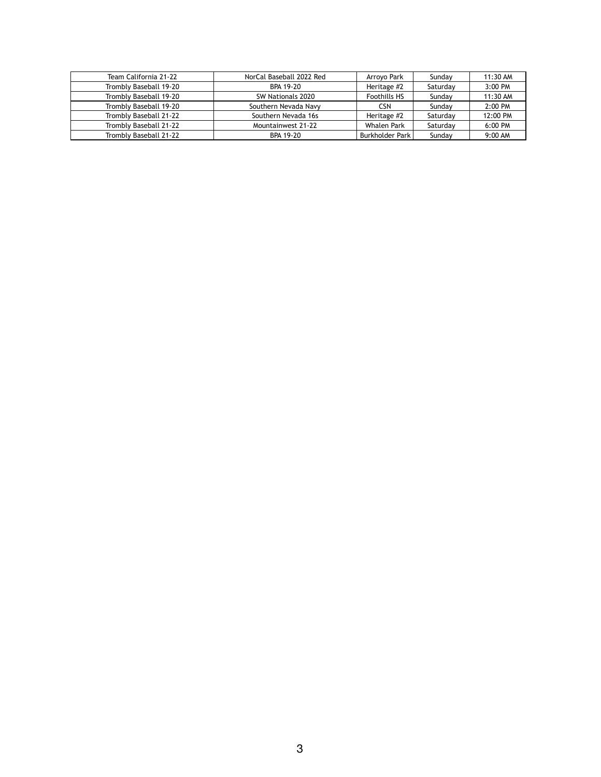| Team California 21-22  | NorCal Baseball 2022 Red | Arroyo Park            | Sunday   | 11:30 AM |
|------------------------|--------------------------|------------------------|----------|----------|
| Trombly Baseball 19-20 | BPA 19-20                | Heritage #2            | Saturday | 3:00 PM  |
| Trombly Baseball 19-20 | SW Nationals 2020        | <b>Foothills HS</b>    | Sunday   | 11:30 AM |
| Trombly Baseball 19-20 | Southern Nevada Navy     | <b>CSN</b>             | Sunday   | 2:00 PM  |
| Trombly Baseball 21-22 | Southern Nevada 16s      | Heritage #2            | Saturday | 12:00 PM |
| Trombly Baseball 21-22 | Mountainwest 21-22       | <b>Whalen Park</b>     | Saturday | 6:00 PM  |
| Trombly Baseball 21-22 | BPA 19-20                | <b>Burkholder Park</b> | Sunday   | 9:00 AM  |

## 3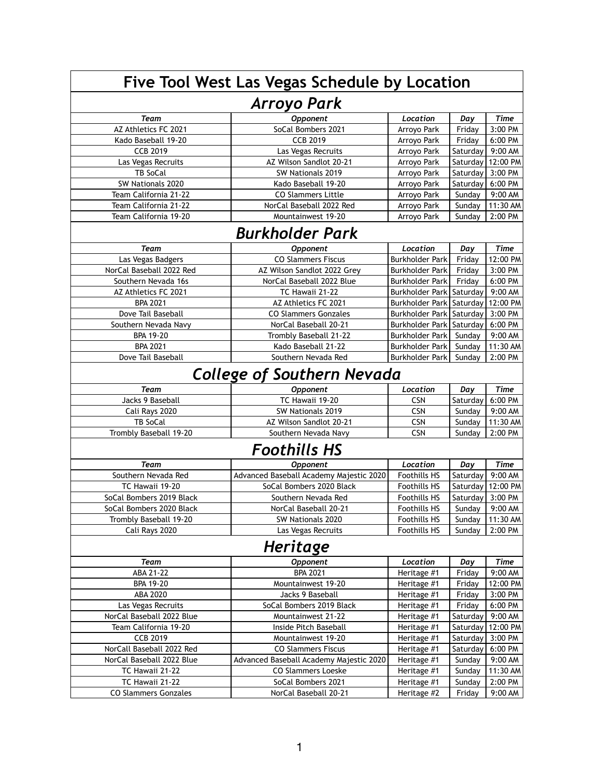| Five Tool West Las Vegas Schedule by Location |                                                                      |                            |                  |                     |  |
|-----------------------------------------------|----------------------------------------------------------------------|----------------------------|------------------|---------------------|--|
| <b>Arroyo Park</b>                            |                                                                      |                            |                  |                     |  |
| <b>Team</b>                                   | Opponent                                                             | Location                   | Day              | <b>Time</b>         |  |
| AZ Athletics FC 2021                          | SoCal Bombers 2021                                                   | Arroyo Park                | Friday           | 3:00 PM             |  |
| Kado Baseball 19-20                           | <b>CCB 2019</b>                                                      | Arroyo Park                | Friday           | 6:00 PM             |  |
| <b>CCB 2019</b>                               | Las Vegas Recruits                                                   | Arroyo Park                | Saturday         | 9:00 AM             |  |
| Las Vegas Recruits                            | AZ Wilson Sandlot 20-21                                              | Arroyo Park                | Saturday         | 12:00 PM            |  |
| <b>TB SoCal</b>                               | SW Nationals 2019                                                    | Arroyo Park                | Saturday         | 3:00 PM             |  |
| SW Nationals 2020                             | Kado Baseball 19-20                                                  | Arroyo Park                | Saturday         | 6:00 PM             |  |
| Team California 21-22                         | <b>CO Slammers Little</b>                                            | Arroyo Park                | Sunday           | 9:00 AM             |  |
| Team California 21-22                         | NorCal Baseball 2022 Red                                             | Arroyo Park                | Sunday           | 11:30 AM            |  |
| Team California 19-20                         | Mountainwest 19-20                                                   | Arroyo Park                | Sunday           | 2:00 PM             |  |
|                                               | <b>Burkholder Park</b>                                               |                            |                  |                     |  |
| <b>Team</b>                                   | Opponent                                                             | Location                   | Day              | <b>Time</b>         |  |
| Las Vegas Badgers                             | <b>CO Slammers Fiscus</b>                                            | <b>Burkholder Park</b>     | Friday           | 12:00 PM            |  |
| NorCal Baseball 2022 Red                      | AZ Wilson Sandlot 2022 Grey                                          | <b>Burkholder Park</b>     | Friday           | 3:00 PM             |  |
| Southern Nevada 16s                           | NorCal Baseball 2022 Blue                                            | <b>Burkholder Park</b>     | Friday           | 6:00 PM             |  |
| AZ Athletics FC 2021                          | TC Hawaii 21-22                                                      | Burkholder Park   Saturday |                  | 9:00 AM             |  |
| <b>BPA 2021</b>                               | AZ Athletics FC 2021                                                 | Burkholder Park   Saturday |                  | 12:00 PM            |  |
| Dove Tail Baseball                            | <b>CO Slammers Gonzales</b>                                          | Burkholder Park   Saturday |                  | 3:00 PM             |  |
| Southern Nevada Navy                          | NorCal Baseball 20-21                                                | Burkholder Park   Saturday |                  | 6:00 PM             |  |
| <b>BPA 19-20</b>                              | Trombly Baseball 21-22                                               | <b>Burkholder Park</b>     | Sunday           | 9:00 AM             |  |
| <b>BPA 2021</b>                               | Kado Baseball 21-22                                                  | <b>Burkholder Park</b>     | Sunday           | 11:30 AM            |  |
| Dove Tail Baseball                            | Southern Nevada Red                                                  | <b>Burkholder Park</b>     | Sunday           | 2:00 PM             |  |
|                                               | <b>College of Southern Nevada</b>                                    |                            |                  |                     |  |
| <b>Team</b>                                   | Opponent                                                             | Location                   | Day              | <b>Time</b>         |  |
| Jacks 9 Baseball                              | TC Hawaii 19-20                                                      | <b>CSN</b>                 | Saturday         | 6:00 PM             |  |
| Cali Rays 2020                                | SW Nationals 2019                                                    | <b>CSN</b>                 | Sunday           | 9:00 AM             |  |
| TB SoCal                                      | AZ Wilson Sandlot 20-21                                              | <b>CSN</b>                 | Sunday           | 11:30 AM            |  |
| Trombly Baseball 19-20                        | Southern Nevada Navy                                                 | <b>CSN</b>                 | Sunday           | 2:00 PM             |  |
|                                               | <b>Foothills HS</b>                                                  |                            |                  |                     |  |
| <b>Team</b>                                   | <b>Opponent</b>                                                      | Location                   | Day              | <b>Time</b>         |  |
| Southern Nevada Red                           | Advanced Baseball Academy Majestic 2020                              | <b>Foothills HS</b>        | Saturday         | 9:00 AM             |  |
| TC Hawaii 19-20                               | SoCal Bombers 2020 Black                                             | <b>Foothills HS</b>        | Saturday         | 12:00 PM            |  |
| SoCal Bombers 2019 Black                      | Southern Nevada Red                                                  | <b>Foothills HS</b>        | Saturday         | 3:00 PM             |  |
| SoCal Bombers 2020 Black                      | NorCal Baseball 20-21                                                | <b>Foothills HS</b>        | Sunday           | 9:00 AM             |  |
| Trombly Baseball 19-20                        | SW Nationals 2020                                                    | <b>Foothills HS</b>        | Sunday           | 11:30 AM            |  |
| Cali Rays 2020                                | Las Vegas Recruits                                                   | <b>Foothills HS</b>        | Sunday           | 2:00 PM             |  |
| Heritage                                      |                                                                      |                            |                  |                     |  |
| <b>Team</b>                                   | <b>Opponent</b>                                                      | Location                   | Day              | <b>Time</b>         |  |
| ABA 21-22                                     | <b>BPA 2021</b>                                                      | Heritage #1                | Friday           | 9:00 AM             |  |
| <b>BPA 19-20</b>                              | Mountainwest 19-20                                                   | Heritage #1                | Friday           | 12:00 PM            |  |
| ABA 2020                                      | Jacks 9 Baseball                                                     | Heritage #1                | Friday           | 3:00 PM             |  |
| Las Vegas Recruits                            | SoCal Bombers 2019 Black                                             | Heritage #1                | Friday           | 6:00 PM             |  |
| NorCal Baseball 2022 Blue                     | Mountainwest 21-22                                                   | Heritage #1                | Saturday         | 9:00 AM             |  |
| Team California 19-20                         |                                                                      |                            |                  | 12:00 PM            |  |
|                                               | Inside Pitch Baseball                                                |                            |                  |                     |  |
| <b>CCB 2019</b>                               | Mountainwest 19-20                                                   | Heritage #1                | Saturday         |                     |  |
|                                               | <b>CO Slammers Fiscus</b>                                            | Heritage #1                | Saturday         | 3:00 PM             |  |
| NorCall Baseball 2022 Red                     |                                                                      | Heritage #1                | Saturday         | 6:00 PM             |  |
| NorCal Baseball 2022 Blue                     | Advanced Baseball Academy Majestic 2020<br><b>CO Slammers Loeske</b> | Heritage #1                | Sunday           | 9:00 AM             |  |
| TC Hawaii 21-22<br>TC Hawaii 21-22            | SoCal Bombers 2021                                                   | Heritage #1<br>Heritage #1 | Sunday<br>Sunday | 11:30 AM<br>2:00 PM |  |